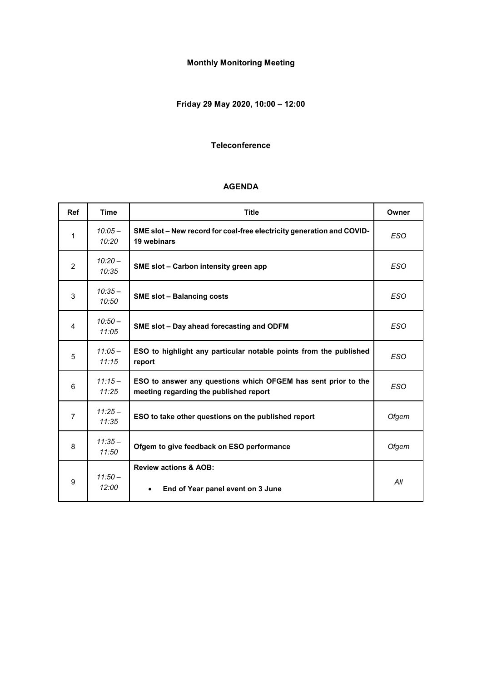# **Monthly Monitoring Meeting**

# **Friday 29 May 2020, 10:00 – 12:00**

#### **Teleconference**

### **AGENDA**

| <b>Ref</b>     | <b>Time</b>        | <b>Title</b>                                                                                            |            |  |  |
|----------------|--------------------|---------------------------------------------------------------------------------------------------------|------------|--|--|
| 1              | $10:05 -$<br>10:20 | SME slot - New record for coal-free electricity generation and COVID-<br>19 webinars                    | <b>ESO</b> |  |  |
| 2              | $10:20 -$<br>10:35 | SME slot - Carbon intensity green app                                                                   | <b>ESO</b> |  |  |
| 3              | $10:35-$<br>10:50  | <b>SME slot - Balancing costs</b>                                                                       | <b>ESO</b> |  |  |
| 4              | $10:50-$<br>11:05  | SME slot - Day ahead forecasting and ODFM                                                               | <b>ESO</b> |  |  |
| 5              | $11:05-$<br>11:15  | ESO to highlight any particular notable points from the published<br>report                             | <b>ESO</b> |  |  |
| 6              | $11:15-$<br>11:25  | ESO to answer any questions which OFGEM has sent prior to the<br>meeting regarding the published report | <b>ESO</b> |  |  |
| $\overline{7}$ | $11:25-$<br>11:35  | ESO to take other questions on the published report                                                     | Ofgem      |  |  |
| 8              | $11:35-$<br>11:50  | Ofgem to give feedback on ESO performance                                                               | Ofgem      |  |  |
| 9              | $11:50-$<br>12:00  | <b>Review actions &amp; AOB:</b><br>End of Year panel event on 3 June<br>٠                              | All        |  |  |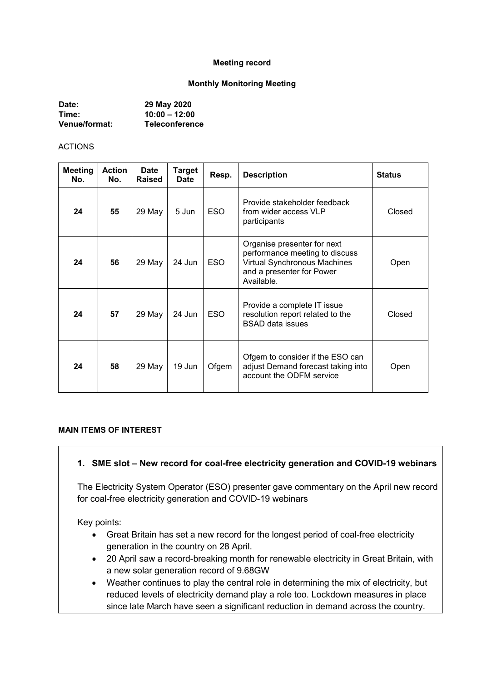#### **Meeting record**

#### **Monthly Monitoring Meeting**

| Date:                | 29 May 2020           |
|----------------------|-----------------------|
| Time:                | $10:00 - 12:00$       |
| <b>Venue/format:</b> | <b>Teleconference</b> |

#### **ACTIONS**

| <b>Meeting</b><br>No. | <b>Action</b><br>No. | Date<br><b>Raised</b> | <b>Target</b><br><b>Date</b> | Resp.      | <b>Description</b>                                                                                                                              | <b>Status</b> |
|-----------------------|----------------------|-----------------------|------------------------------|------------|-------------------------------------------------------------------------------------------------------------------------------------------------|---------------|
| 24                    | 55                   | 29 May                | 5 Jun                        | <b>ESO</b> | Provide stakeholder feedback<br>from wider access VLP<br>participants                                                                           | Closed        |
| 24                    | 56                   | 29 May                | 24 Jun                       | ESO.       | Organise presenter for next<br>performance meeting to discuss<br><b>Virtual Synchronous Machines</b><br>and a presenter for Power<br>Available. | Open          |
| 24                    | 57                   | 29 May                | 24 Jun                       | ESO.       | Provide a complete IT issue<br>resolution report related to the<br><b>BSAD data issues</b>                                                      | Closed        |
| 24                    | 58                   | 29 May                | 19 Jun                       | Ofgem      | Ofgem to consider if the ESO can<br>adjust Demand forecast taking into<br>account the ODFM service                                              | Open          |

### **MAIN ITEMS OF INTEREST**

### **1. SME slot – New record for coal-free electricity generation and COVID-19 webinars**

The Electricity System Operator (ESO) presenter gave commentary on the April new record for coal-free electricity generation and COVID-19 webinars

Key points:

- Great Britain has set a new record for the longest period of coal-free electricity generation in the country on 28 April.
- 20 April saw a record-breaking month for renewable electricity in Great Britain, with a new solar generation record of 9.68GW
- Weather continues to play the central role in determining the mix of electricity, but reduced levels of electricity demand play a role too. Lockdown measures in place since late March have seen a significant reduction in demand across the country.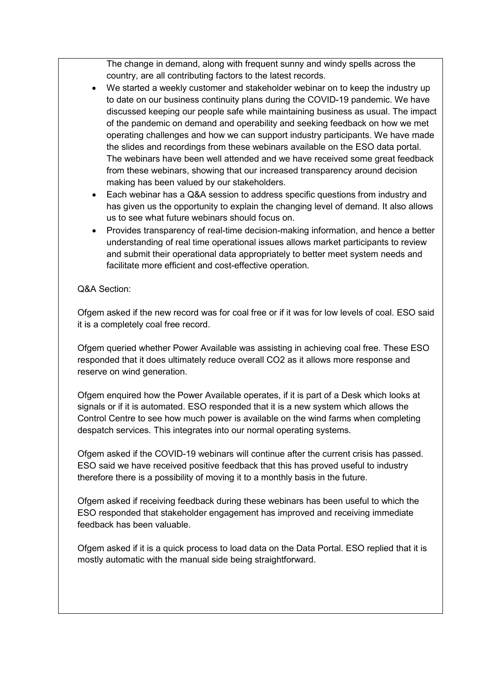The change in demand, along with frequent sunny and windy spells across the country, are all contributing factors to the latest records.

- We started a weekly customer and stakeholder webinar on to keep the industry up to date on our business continuity plans during the COVID-19 pandemic. We have discussed keeping our people safe while maintaining business as usual. The impact of the pandemic on demand and operability and seeking feedback on how we met operating challenges and how we can support industry participants. We have made the slides and recordings from these webinars available on the ESO data portal. The webinars have been well attended and we have received some great feedback from these webinars, showing that our increased transparency around decision making has been valued by our stakeholders.
- Each webinar has a Q&A session to address specific questions from industry and has given us the opportunity to explain the changing level of demand. It also allows us to see what future webinars should focus on.
- Provides transparency of real-time decision-making information, and hence a better understanding of real time operational issues allows market participants to review and submit their operational data appropriately to better meet system needs and facilitate more efficient and cost-effective operation.

## Q&A Section:

Ofgem asked if the new record was for coal free or if it was for low levels of coal. ESO said it is a completely coal free record.

Ofgem queried whether Power Available was assisting in achieving coal free. These ESO responded that it does ultimately reduce overall CO2 as it allows more response and reserve on wind generation.

Ofgem enquired how the Power Available operates, if it is part of a Desk which looks at signals or if it is automated. ESO responded that it is a new system which allows the Control Centre to see how much power is available on the wind farms when completing despatch services. This integrates into our normal operating systems.

Ofgem asked if the COVID-19 webinars will continue after the current crisis has passed. ESO said we have received positive feedback that this has proved useful to industry therefore there is a possibility of moving it to a monthly basis in the future.

Ofgem asked if receiving feedback during these webinars has been useful to which the ESO responded that stakeholder engagement has improved and receiving immediate feedback has been valuable.

Ofgem asked if it is a quick process to load data on the Data Portal. ESO replied that it is mostly automatic with the manual side being straightforward.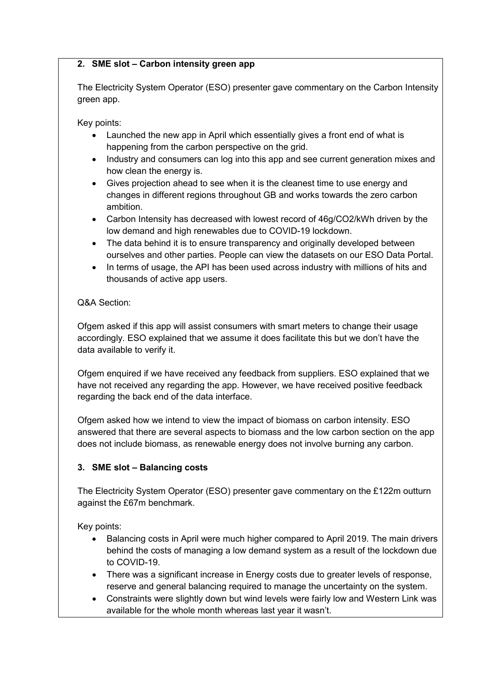## **2. SME slot – Carbon intensity green app**

The Electricity System Operator (ESO) presenter gave commentary on the Carbon Intensity green app.

Key points:

- Launched the new app in April which essentially gives a front end of what is happening from the carbon perspective on the grid.
- Industry and consumers can log into this app and see current generation mixes and how clean the energy is.
- Gives projection ahead to see when it is the cleanest time to use energy and changes in different regions throughout GB and works towards the zero carbon ambition.
- Carbon Intensity has decreased with lowest record of 46g/CO2/kWh driven by the low demand and high renewables due to COVID-19 lockdown.
- The data behind it is to ensure transparency and originally developed between ourselves and other parties. People can view the datasets on our ESO Data Portal.
- In terms of usage, the API has been used across industry with millions of hits and thousands of active app users.

## Q&A Section:

Ofgem asked if this app will assist consumers with smart meters to change their usage accordingly. ESO explained that we assume it does facilitate this but we don't have the data available to verify it.

Ofgem enquired if we have received any feedback from suppliers. ESO explained that we have not received any regarding the app. However, we have received positive feedback regarding the back end of the data interface.

Ofgem asked how we intend to view the impact of biomass on carbon intensity. ESO answered that there are several aspects to biomass and the low carbon section on the app does not include biomass, as renewable energy does not involve burning any carbon.

# **3. SME slot – Balancing costs**

The Electricity System Operator (ESO) presenter gave commentary on the £122m outturn against the £67m benchmark.

Key points:

- Balancing costs in April were much higher compared to April 2019. The main drivers behind the costs of managing a low demand system as a result of the lockdown due to COVID-19.
- There was a significant increase in Energy costs due to greater levels of response, reserve and general balancing required to manage the uncertainty on the system.
- Constraints were slightly down but wind levels were fairly low and Western Link was available for the whole month whereas last year it wasn't.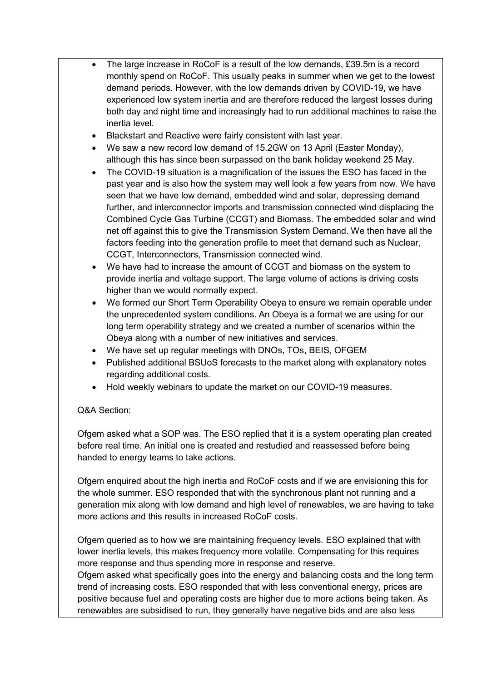- The large increase in RoCoF is a result of the low demands, £39.5m is a record monthly spend on RoCoF. This usually peaks in summer when we get to the lowest demand periods. However, with the low demands driven by COVID-19, we have experienced low system inertia and are therefore reduced the largest losses during both day and night time and increasingly had to run additional machines to raise the inertia level.
- Blackstart and Reactive were fairly consistent with last year.
- We saw a new record low demand of 15.2GW on 13 April (Easter Monday), although this has since been surpassed on the bank holiday weekend 25 May.
- The COVID-19 situation is a magnification of the issues the ESO has faced in the past year and is also how the system may well look a few years from now. We have seen that we have low demand, embedded wind and solar, depressing demand further, and interconnector imports and transmission connected wind displacing the Combined Cycle Gas Turbine (CCGT) and Biomass. The embedded solar and wind net off against this to give the Transmission System Demand. We then have all the factors feeding into the generation profile to meet that demand such as Nuclear, CCGT, Interconnectors, Transmission connected wind.
- We have had to increase the amount of CCGT and biomass on the system to provide inertia and voltage support. The large volume of actions is driving costs higher than we would normally expect.
- We formed our Short Term Operability Obeya to ensure we remain operable under the unprecedented system conditions. An Obeya is a format we are using for our long term operability strategy and we created a number of scenarios within the Obeya along with a number of new initiatives and services.
- We have set up regular meetings with DNOs, TOs, BEIS, OFGEM
- Published additional BSUoS forecasts to the market along with explanatory notes regarding additional costs.
- Hold weekly webinars to update the market on our COVID-19 measures.

## Q&A Section:

Ofgem asked what a SOP was. The ESO replied that it is a system operating plan created before real time. An initial one is created and restudied and reassessed before being handed to energy teams to take actions.

Ofgem enquired about the high inertia and RoCoF costs and if we are envisioning this for the whole summer. ESO responded that with the synchronous plant not running and a generation mix along with low demand and high level of renewables, we are having to take more actions and this results in increased RoCoF costs.

Ofgem queried as to how we are maintaining frequency levels. ESO explained that with lower inertia levels, this makes frequency more volatile. Compensating for this requires more response and thus spending more in response and reserve.

Ofgem asked what specifically goes into the energy and balancing costs and the long term trend of increasing costs. ESO responded that with less conventional energy, prices are positive because fuel and operating costs are higher due to more actions being taken. As renewables are subsidised to run, they generally have negative bids and are also less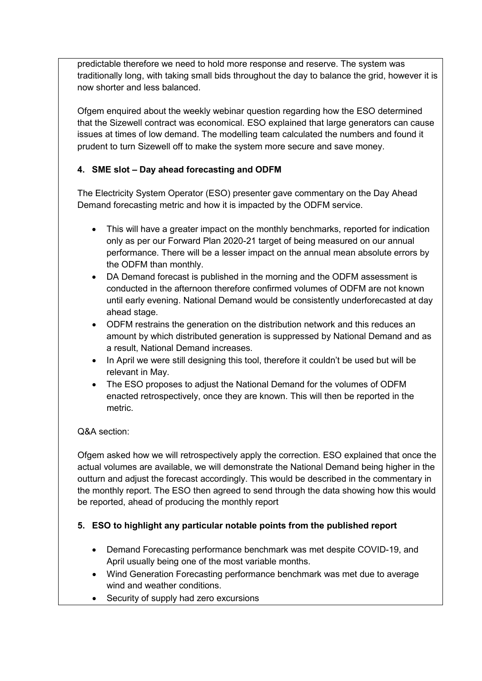predictable therefore we need to hold more response and reserve. The system was traditionally long, with taking small bids throughout the day to balance the grid, however it is now shorter and less balanced.

Ofgem enquired about the weekly webinar question regarding how the ESO determined that the Sizewell contract was economical. ESO explained that large generators can cause issues at times of low demand. The modelling team calculated the numbers and found it prudent to turn Sizewell off to make the system more secure and save money.

# **4. SME slot – Day ahead forecasting and ODFM**

The Electricity System Operator (ESO) presenter gave commentary on the Day Ahead Demand forecasting metric and how it is impacted by the ODFM service.

- This will have a greater impact on the monthly benchmarks, reported for indication only as per our Forward Plan 2020-21 target of being measured on our annual performance. There will be a lesser impact on the annual mean absolute errors by the ODFM than monthly.
- DA Demand forecast is published in the morning and the ODFM assessment is conducted in the afternoon therefore confirmed volumes of ODFM are not known until early evening. National Demand would be consistently underforecasted at day ahead stage.
- ODFM restrains the generation on the distribution network and this reduces an amount by which distributed generation is suppressed by National Demand and as a result, National Demand increases.
- In April we were still designing this tool, therefore it couldn't be used but will be relevant in May.
- The ESO proposes to adjust the National Demand for the volumes of ODFM enacted retrospectively, once they are known. This will then be reported in the metric.

# Q&A section:

Ofgem asked how we will retrospectively apply the correction. ESO explained that once the actual volumes are available, we will demonstrate the National Demand being higher in the outturn and adjust the forecast accordingly. This would be described in the commentary in the monthly report. The ESO then agreed to send through the data showing how this would be reported, ahead of producing the monthly report

# **5. ESO to highlight any particular notable points from the published report**

- Demand Forecasting performance benchmark was met despite COVID-19, and April usually being one of the most variable months.
- Wind Generation Forecasting performance benchmark was met due to average wind and weather conditions.
- Security of supply had zero excursions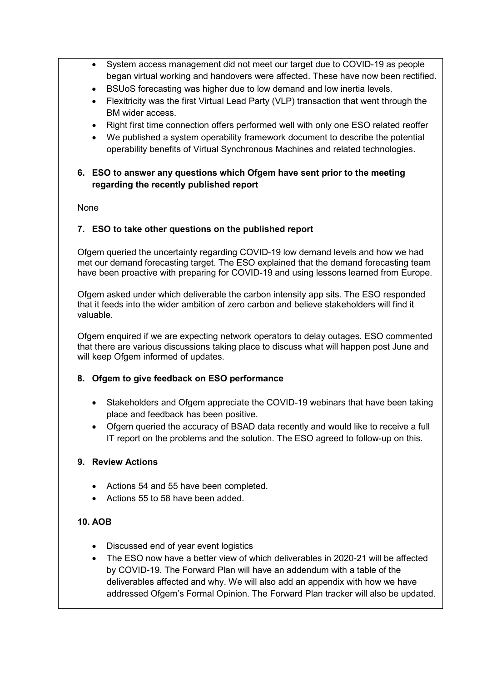- System access management did not meet our target due to COVID-19 as people began virtual working and handovers were affected. These have now been rectified.
- BSUoS forecasting was higher due to low demand and low inertia levels.
- Flexitricity was the first Virtual Lead Party (VLP) transaction that went through the BM wider access.
- Right first time connection offers performed well with only one ESO related reoffer
- We published a system operability framework document to describe the potential operability benefits of Virtual Synchronous Machines and related technologies.

## **6. ESO to answer any questions which Ofgem have sent prior to the meeting regarding the recently published report**

None

## **7. ESO to take other questions on the published report**

Ofgem queried the uncertainty regarding COVID-19 low demand levels and how we had met our demand forecasting target. The ESO explained that the demand forecasting team have been proactive with preparing for COVID-19 and using lessons learned from Europe.

Ofgem asked under which deliverable the carbon intensity app sits. The ESO responded that it feeds into the wider ambition of zero carbon and believe stakeholders will find it valuable.

Ofgem enquired if we are expecting network operators to delay outages. ESO commented that there are various discussions taking place to discuss what will happen post June and will keep Ofgem informed of updates.

## **8. Ofgem to give feedback on ESO performance**

- Stakeholders and Ofgem appreciate the COVID-19 webinars that have been taking place and feedback has been positive.
- Ofgem queried the accuracy of BSAD data recently and would like to receive a full IT report on the problems and the solution. The ESO agreed to follow-up on this.

## **9. Review Actions**

- Actions 54 and 55 have been completed.
- Actions 55 to 58 have been added.

## **10. AOB**

- Discussed end of year event logistics
- The ESO now have a better view of which deliverables in 2020-21 will be affected by COVID-19. The Forward Plan will have an addendum with a table of the deliverables affected and why. We will also add an appendix with how we have addressed Ofgem's Formal Opinion. The Forward Plan tracker will also be updated.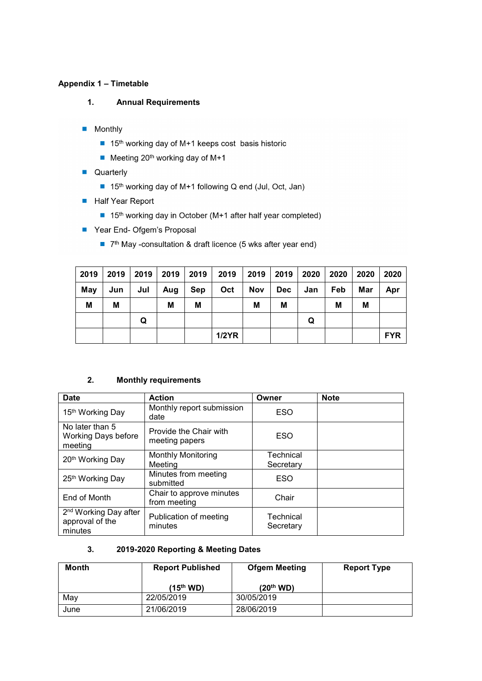### **Appendix 1 – Timetable**

#### **1. Annual Requirements**

- $\blacksquare$  Monthly
	- 15<sup>th</sup> working day of M+1 keeps cost basis historic
	- $\blacksquare$  Meeting 20<sup>th</sup> working day of M+1
- **Quarterly** 
	- 15<sup>th</sup> working day of M+1 following Q end (Jul, Oct, Jan)
- **Half Year Report** 
	- 15<sup>th</sup> working day in October (M+1 after half year completed)
- Year End- Ofgem's Proposal
	- 7<sup>th</sup> May -consultation & draft licence (5 wks after year end)

| 2019 | 2019 | 2019 | 2019 2019 |     | 2019         | 2019       | 2019       |     | 2020 | 2020 | 2020       |
|------|------|------|-----------|-----|--------------|------------|------------|-----|------|------|------------|
| May  | Jun  | Jul  | Aug       | Sep | Oct          | <b>Nov</b> | <b>Dec</b> | Jan | Feb  | Mar  | Apr        |
| М    | M    |      | M         | M   |              | M          | М          |     | M    | M    |            |
|      |      | Q    |           |     |              |            |            | Q   |      |      |            |
|      |      |      |           |     | <b>1/2YR</b> |            |            |     |      |      | <b>FYR</b> |

### **2. Monthly requirements**

| <b>Date</b>                                                     | <b>Action</b>                            | Owner                  | <b>Note</b> |
|-----------------------------------------------------------------|------------------------------------------|------------------------|-------------|
| 15 <sup>th</sup> Working Day                                    | Monthly report submission<br>date        | <b>ESO</b>             |             |
| No later than 5<br><b>Working Days before</b><br>meeting        | Provide the Chair with<br>meeting papers | <b>ESO</b>             |             |
| 20 <sup>th</sup> Working Day                                    | <b>Monthly Monitoring</b><br>Meeting     | Technical<br>Secretary |             |
| 25th Working Day                                                | Minutes from meeting<br>submitted        | <b>ESO</b>             |             |
| End of Month                                                    | Chair to approve minutes<br>from meeting | Chair                  |             |
| 2 <sup>nd</sup> Working Day after<br>approval of the<br>minutes | Publication of meeting<br>minutes        | Technical<br>Secretary |             |

#### **3. 2019-2020 Reporting & Meeting Dates**

| Month | <b>Report Published</b> | <b>Ofgem Meeting</b>  | <b>Report Type</b> |
|-------|-------------------------|-----------------------|--------------------|
|       | (15 <sup>th</sup> WD)   | (20 <sup>th</sup> WD) |                    |
| May   | 22/05/2019              | 30/05/2019            |                    |
| June  | 21/06/2019              | 28/06/2019            |                    |